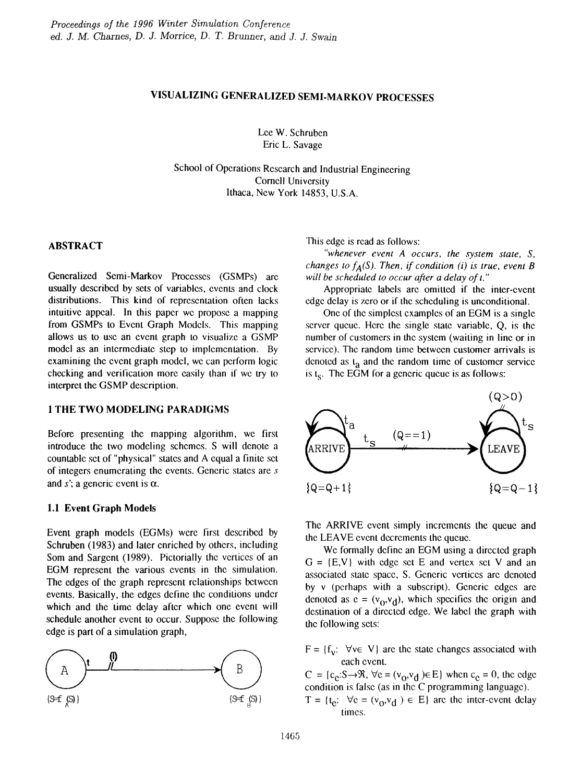# VISUALIZING GENERALIZED SEMI-MARKOV PROCESSES

Lee W. Schruben Eric L. Savage

School of Operations Research and Industrial Engineering Cornell University Ithaca, New York 14853, U.S.A.

## ABSTRACT

Generalized Semi-Markov Processes (GSMPs) arc usually described by sets of variables, events and clock distributions. This kind of representation often lacks intuitive appeal. In this paper we propose a mapping from GSMPs to Event Graph Models. This mapping allows us to use an event graph to visualize a GSMP model as an intermediate step to implementation. By examining the event graph model, we can perform logic checking and verification more easily than if we try to interpret the GSMP description.

## 1 THE TWO MODELING PARADIGMS

Before presenting the mapping algorithm, we first introduce the two modeling schemes. S will denote a countable set of "physical" slates and A equal a finite set of integers enumerating the events. Generic slates are *s* and s'; a generic event is  $\alpha$ .

### 1.1 Event Graph Models

Event graph models (EGMs) were first described by Schruben (1983) and later enriched by others, including Som and Sargent (1989). Pictorially the vertices of an EGM represent the various events in the simulation. The edges of the graph represent relationships between events. Basically, the edges define the conditions under which and the time delay after which one event will schedule another event to occur. Suppose the following edge is part of a simulation graph,



This edge is read as follows:

*"whenever event A occurs, the system state, S, changes to*  $f_A(S)$ *. Then, if condition (i) is true, event B will be scheduled to occur after a delay oft."*

Appropriate labels arc omitted if the inter-event edge delay is zero or if the scheduling is unconditional.

One of the simplest examples of an EGM is a single server queue. Here the single state variable, Q, is the number of customers in the system (waiting in line or in service). The random time between customer arrivals is denoted as  $t_a$  and the random time of customer service is  $t_s$ . The EGM for a generic queue is as follows:



The ARRIVE event simply increments the queue and the LEAVE event decrements the queue.

We formally define an EGM using a directed graph  $G = \{E, V\}$  with edge set E and vertex set V and an associated state space, S. Generic vertices are denoted by v (perhaps with a subscript). Generic edges arc denoted as  $e = (v_0, v_d)$ , which specifies the origin and destination of a directed edge. We label the graph with the following sets:

 $F = \{f_v: \forall v \in V\}$  are the state changes associated with each event.

 $C = {c_e: S \rightarrow \Re, \forall c = (v_0, v_d) \in E}$  when  $c_e = 0$ , the edge condition is false (as in the C programming language).

 $T = \{t_e: \forall e = (v_0, v_d) \in E\}$  are the inter-event delay times.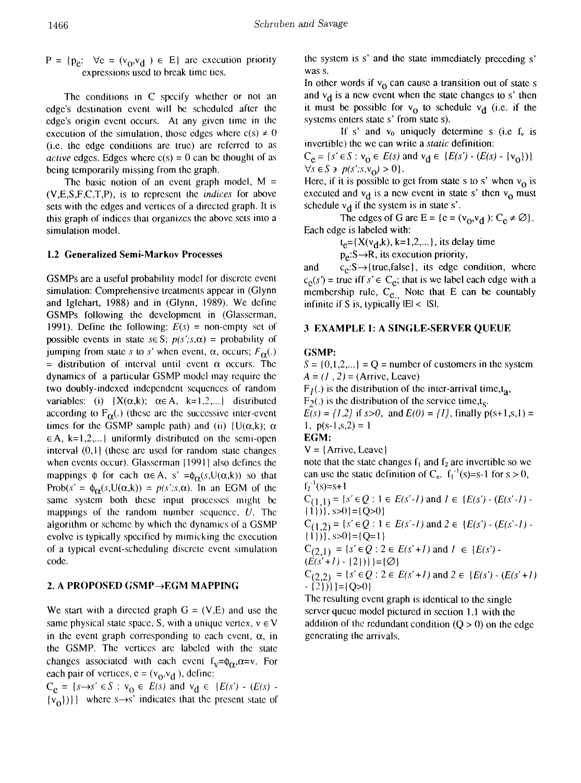$P = \{p_e: \forall c = (v_0, v_d) \in E\}$  are execution priority expressions used to hreak time tics.

The conditions in C specify whether or not an edge's destination event will be scheduled after the edge's origin event occurs. At any given time in the execution of the simulation, those edges where  $c(s) \neq 0$ (i.e. the edge conditions are true) are referred to as *active* edges. Edges where  $c(s) = 0$  can be thought of as being temporarily missing from the graph.

The basic notion of an event graph model,  $M =$ (V,E,S,F,C,T,P), is to represent the *indices* for above sets with the edges and vertices of a directed graph. It is this graph of indices that organizes the above sets into a simulation model.

## 1.2 Generalized Semi-Markov Processes

GSMPs are a useful probability model for discrete event simulation: Comprehensive treatments appear in (Glynn and Iglehart, 1988) and in (Glynn, 1989). We define GSMPs following the development in (Glasserman, 1991). Define the following:  $E(s) =$  non-empty set of possible events in state  $s \in S$ ;  $p(s';s,\alpha) =$  probability of jumping from state s to s' when event,  $\alpha$ , occurs;  $F_{\alpha}$ (.) = distribution of interval until event  $\alpha$  occurs. The dynamics of a particular GSMP model may require the two doubly-indexed independent sequences of random variables: (i)  $\{X(\alpha,k); \alpha \in A, k=1,2,...\}$  distributed according to  $F_{\alpha}$ .) (these are the successive inter-event times for the GSMP sample path) and (ii)  $\{U(\alpha, k)\}\alpha$  $\in$  A, k=1,2,...} uniformly distributed on the semi-open interval  $(0,1)$  (these are used for random state changes when events occur). Glasserman  $[1991]$  also defines the mappings  $\phi$  for each  $\alpha \in A$ , s' = $\phi_{\alpha}(s, U(\alpha, k))$  so that Prob(s' =  $\phi_{\alpha}(s, U(\alpha, k)) = p(s', s, \alpha)$ . In an EGM of the same system both these input processes might be mappings of the random number sequence,  $U$ . The algorithm or scheme by which the dynamics of a GSMP evolve is typically specificd by mimicking the execution of a typical event-scheduling discrete event simulation code.

### 2. A PROPOSED GSMP $\rightarrow$ EGM MAPPING

We start with a directed graph  $G = (V,E)$  and use the same physical state space, S, with a unique vertex,  $v \in V$ in the event graph corresponding to each event,  $\alpha$ , in the GSMP. The vertices are labeled with the state changes associated with each event  $f_v = \phi_{\alpha}, \alpha = v$ . For each pair of vertices,  $e = (v_0, v_d)$ , define:

 $C_e = \{s \rightarrow s' \in S : v_0 \in E(s) \text{ and } v_d \in \{E(s') - (E(s) \{v_{\Omega}\}\$  where s $\rightarrow$ s' indicates that the present state of the system is s' and the state immediately preceding s' was s.

In other words if  $v_0$  can cause a transition out of state s and  $v_d$  is a new event when the state changes to s' then it must be possible for  $v_0$  to schedule  $v_d$  (i.e. if the systems enters state s' from state s).

If s' and  $v_0$  uniquely determine s (i.e f<sub>v</sub> is invertible) the we can write a *Sialic* definition:

 $C_e = \{s' \in S : v_0 \in E(s) \text{ and } v_d \in \{E(s') \cdot (E(s) \cdot \{v_0\})\}\}\$  $\forall s \in S \ni p(s'; s, v_0) > 0$ .

Here, if it is possible to get from state s to s' when  $v_0$  is executed and  $v_d$  is a new event in state s' then  $v_0$  must schedule  $v_d$  if the system is in state s'.

The edges of G are E = {c = (v<sub>0</sub>,v<sub>d</sub>): C<sub>e</sub>  $\neq \emptyset$ }. Each edge is labeled with:

 $t_e = {X(v_d, k), k=1,2,...}$ , its delay time

 $p_e: S \rightarrow R$ , its execution priority,

and  $c_e: S \rightarrow \{true, false\}$ , its edge condition, where  $c_e(s)$  = true iff  $s' \in C_e$ ; that is we label each edge with a membership rule,  $C_{c}$ . Note that E can be countably infinite if S is, typically  $|E| <$  ISI.

### 3 EXAMPLE 1: A SINGLE-SERVER QUEUE

#### (iSMP:

 $S = \{0, 1, 2, ...\} = Q$  = number of customers in the system  $A = (1, 2) = (Arrive, Leave)$ 

 $F_1(.)$  is the distribution of the inter-arrival time,t<sub>a</sub>,  $F<sub>2</sub>(.)$  is the distribution of the service time,t<sub>s</sub>.  $E(s) = \{1,2\}$  if  $s > 0$ , and  $E(0) = \{1\}$ , finally  $p(s+1,s,1) =$ 1,  $p(s-1, s, 2) = 1$ 

$$
\widehat{\mathbf{EGM}}:
$$

 $V = \{Arrive, Leave\}$ 

note that the state changes  $f_1$  and  $f_2$  are invertible so we can use the static definition of  $C_e$ .  $f_1^{-1}(s) = s-1$  for  $s > 0$ ,  $f_2^{-1}(s)=s+1$ 

 $C_{(1,1)} = \{s' \in Q : 1 \in E(s'-1) \text{ and } 1 \in \{E(s') \cdot (E(s'-1))\}$  $\{1\}\}$ , s>0}= $\{Q>0\}$ 

 $C_{(1,2)} = \{s' \in \mathcal{Q} : 1 \in E(s'-1) \text{ and } 2 \in \{E(s') - (E(s'-1) - \mathcal{Q} \} \}$  $\{(1)\}\}$ , s>0}= $\{Q=1\}$ 

 $C_{(2,1)} = \{s' \in \mathcal{Q} : 2 \in E(s'+1) \text{ and } l \in \{E(s') (E(s'+1) - \{2\})\}$  = { $\varnothing$ }

 $C_{(2,2)} = \{s' \in Q : 2 \in E(s'+1) \text{ and } 2 \in \{E(s') \cdot (E(s'+1))\}$  $-$  {2})}} = {Q>0}

The resulting event graph is identical to the single server queue model pictured in section 1.1 with the addition of the redundant condition  $(Q > 0)$  on the edge generating the arrivals.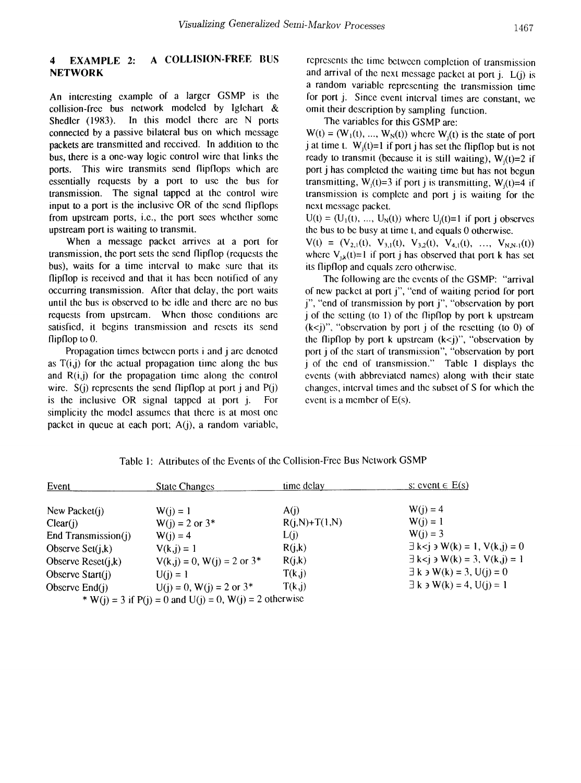## 4 EXAMPLE 2: A COLLISION-FREE BUS **NETWORK**

An interesting example of a larger GSMP is the collision-free bus network modeled by Iglehart & Shedler (1983). In this model there are  $N$  ports connected by a passive bilateral bus on which message packets are transmitted and received. In addition to the bus, there is a one-way logic control wire that links the ports. This wire transmits send flipflops which are essentially requests by a port to use the bus for transmission. The signal tapped at the control wire input to a port is the inclusive OR of the send flipflops from upstream ports, i.e., the port sees whether some upstream port is waiting to transmit.

When a message packet arrives at a port for transmission, the port sets the send flipflop (requests the bus), waits for a time interval to make sure that its flipflop is received and that it has been notified of any occurring transmission. After that delay, the port waits until the bus is observed to be idle and there are no bus requests from upstream. When those conditions are satisfied, it begins transmission and resets its send flipflop to O.

Propagation times between ports i and j are denoted as  $T(i,j)$  for the actual propagation time along the bus and  $R(i,j)$  for the propagation time along the control wire.  $S(i)$  represents the send flipflop at port j and  $P(i)$ is the inclusive OR signal tapped at port j. For simplicity the model assumes that there is at most one packet in queue at each port; A(j), a random variable, represents the time between completion of transmission and arrival of the next message packet at port  $j$ .  $L(j)$  is a random variable representing the transmission time for port j. Since event interval times are constant, we omit their description by sampling function.

The variables for this GSMP are:

 $W(t) = (W_1(t), ..., W_N(t))$  where  $W_i(t)$  is the state of port j at time t.  $W_i(t)=1$  if port j has set the flipflop but is not ready to transmit (because it is still waiting),  $W_i(t)=2$  if port j has completed the waiting time but has not begun transmitting,  $W_i(t)=3$  if port j is transmitting,  $W_i(t)=4$  if transmission is complete and port j is waiting for the next message packet.

 $U(t) = (U_1(t), ..., U_N(t))$  where  $U_i(t)=1$  if port j observes the bus to be busy at time t, and equals 0 otherwise.

 $V(t) = (V_{2,1}(t), V_{3,1}(t), V_{3,2}(t), V_{4,1}(t), ..., V_{N,N-1}(t))$ where  $V_{i,k}(t)=1$  if port j has observed that port k has set its flipflop and equals zero otherwise.

The following are the events of the GSMP: "arrival" of new packet at port j", "end of waiting period for port j", "end of transmission by port j", "observation by port j of the setting (to 1) of the flipflop by port k upstream  $(k<$ j)", "observation by port j of the resetting (to 0) of the flipflop by port k upstream  $(k<$ j)", "observation by port j of the start of transmission", "observation by port j of the end of transmission." Table 1 displays the events (with abbreviated names) along with their state changes, interval times and the subset of S for which the event is a member of E(s).

| Event                | <b>State Changes</b>                                     | time delay      | s: event $\in$ E(s)                       |
|----------------------|----------------------------------------------------------|-----------------|-------------------------------------------|
| New Packet $(i)$     | $W(i) = 1$                                               | A(i)            | $W(i) = 4$                                |
| Clear(i)             | $W(i) = 2$ or $3*$                                       | $R(j,N)+T(1,N)$ | $W(i) = 1$                                |
| End Transmission(j)  | $W(i) = 4$                                               | L(j)            | $W(i) = 3$                                |
| Observe $Set(i,k)$   | $V(k, j) = 1$                                            | R(j,k)          | $\exists k < j \ni W(k) = 1, V(k, j) = 0$ |
| Observe $Reset(j,k)$ | $V(k, i) = 0$ , $W(i) = 2$ or $3^*$                      | R(j,k)          | $\exists k < j \ni W(k) = 3, V(k, j) = 1$ |
| Observe $Start(i)$   | $U(i) = 1$                                               | T(k, j)         | $\exists$ k $\exists$ W(k) = 3, U(j) = 0  |
| Observe $End(i)$     | $U(i) = 0$ , $W(i) = 2$ or $3^*$                         | T(k, j)         | $\exists$ k $\exists$ W(k) = 4, U(j) = 1  |
|                      | $*$ W(3) 2 if $D(3)$ 0 and $U(3) = 0$ W(3) = 2 otherwise |                 |                                           |

Table 1: Attributes of the Events of the Collision-Free Bus Network GSMP

\* W(j) = 3 if  $P(j) = 0$  and  $U(j) = 0$ , W(j) = 2 otherwise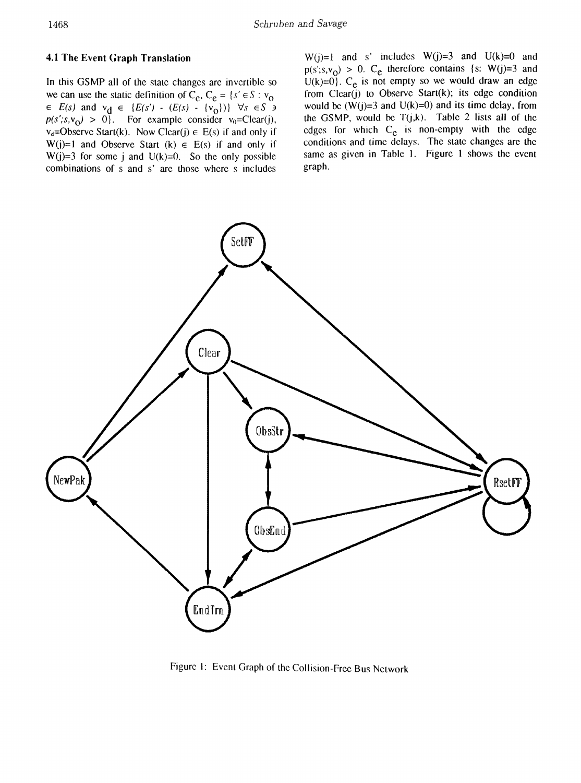## 4.1 The Event Graph Translation

In this GSMP all of the state changes are invertible so we can use the static definition of  $C_e$ ,  $C_e = \{s' \in S : v_0\}$  $\in E(s)$  and  $v_d \in \{E(s') - (E(s) - \{v_o\})\}$   $\forall s \in S$  3  $p(s';s,v_0) > 0$ . For example consider  $v_0 = \text{Clear}(j)$ .  $v_d$ =Observc Start(k). Now Clcar(j)  $\in$  E(s) if and only if W(j)=1 and Observe Start (k)  $\in$  E(s) if and only if W(j)=3 for some j and  $U(k)=0$ . So the only possible combinations of sand s' are those where s includes

 $W(j)=1$  and s' includes  $W(j)=3$  and  $U(k)=0$  and  $p(s|s,v_0) > 0$ . C<sub>e</sub> therefore contains {s: W(j)=3 and  $U(k)=0$ . C<sub>e</sub> is not empty so we would draw an edge from  $Clear(j)$  to Observe Start(k); its edge condition would be  $(W(j)=3$  and  $U(k)=0$ ) and its time delay, from the GSMP, would be  $T(j,k)$ . Table 2 lists all of the edges for which  $C_e$  is non-empty with the edge conditions and time delays. The state changes are the same as given in Table 1. Figure 1 shows the event graph.



Figure 1: Event Graph of the Collision-Free Bus Network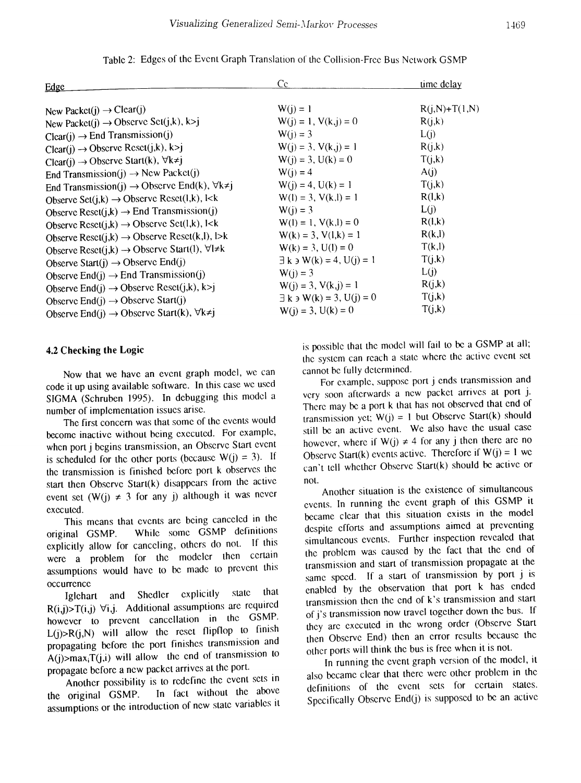| Edge                                                                                                                                | Cc                                       | <u>time delay</u> |
|-------------------------------------------------------------------------------------------------------------------------------------|------------------------------------------|-------------------|
|                                                                                                                                     |                                          |                   |
| New Packet(j) $\rightarrow$ Clear(j)                                                                                                | $W(j) = 1$                               | $R(i,N)+T(1,N)$   |
| New Packet(j) $\rightarrow$ Observe Set(j,k), k>i                                                                                   | $W(j) = 1, V(k, j) = 0$                  | R(j,k)            |
| $Clear(i) \rightarrow End Transmission(i)$                                                                                          | $W(j) = 3$                               | L(i)              |
| $Clear(i) \rightarrow Observe Rcsct(j,k), k>i$                                                                                      | $W(i) = 3, V(k, i) = 1$                  | R(j,k)            |
| Clear(j) $\rightarrow$ Observe Start(k), $\forall k \neq j$                                                                         | $W(i) = 3$ , $U(k) = 0$                  | T(j,k)            |
| End Transmission(j) $\rightarrow$ New Packet(j)                                                                                     | $W(j) = 4$                               | A(j)              |
| End Transmission(j) $\rightarrow$ Observe End(k), $\forall k \neq i$                                                                | $W(i) = 4$ , $U(k) = 1$                  | T(j,k)            |
| Observe Set $(i,k) \rightarrow$ Observe Reset $(i,k)$ , l <k< td=""><td><math>W(1) = 3, V(k, l) = 1</math></td><td>R(l,k)</td></k<> | $W(1) = 3, V(k, l) = 1$                  | R(l,k)            |
| Observe Reset $(j,k) \rightarrow$ End Transmission(j)                                                                               | $W(j) = 3$                               | L(j)              |
| Observe Reset $(j,k) \rightarrow$ Observe Set $(l,k)$ , I <k< td=""><td><math>W(1) = 1, V(k, l) = 0</math></td><td>R(l,k)</td></k<> | $W(1) = 1, V(k, l) = 0$                  | R(l,k)            |
| Observe Resct(j,k) $\rightarrow$ Observe Resct(k,l), l>k                                                                            | $W(k) = 3, V(l,k) = 1$                   | R(k,l)            |
| Observe Reset(j,k) $\rightarrow$ Observe Start(l), $\forall l \neq k$                                                               | $W(k) = 3$ , $U(1) = 0$                  | T(k, l)           |
| Observe Start(j) $\rightarrow$ Observe End(j)                                                                                       | $\exists$ k $\exists$ W(k) = 4, U(i) = 1 | T(j,k)            |
| Observe End(j) $\rightarrow$ End Transmission(j)                                                                                    | $W(i) = 3$                               | L(j)              |
| Observe End(j) $\rightarrow$ Observe Reset(j,k), k>j                                                                                | $W(i) = 3, V(k, i) = 1$                  | R(j,k)            |
| Observe End(j) $\rightarrow$ Observe Start(j)                                                                                       | $\exists k \exists W(k) = 3, U(i) = 0$   | T(j,k)            |
| Observe End(j) $\rightarrow$ Observe Start(k), $\forall k \neq j$                                                                   | $W(i) = 3, U(k) = 0$                     | T(j,k)            |

Table 2: Edges of the Event Graph Translation or the Collision-Free Bus Network GSMP

### 4.2 Checking the Logic

Now that we have an event grap<sup>h</sup> model, we can code it up using available software. In this case we used SIGMA (Schruben 1995). In debugging this model a number of implementation issues arisc.

The first concern was that some of the events would become inactive without being executed. For example, when port j begins transmission, an Observe Start event is scheduled for the other ports (because  $W(j) = 3$ ). If the transmission is finished before por<sup>t</sup> <sup>k</sup> observes the start then Observe Start $(k)$  disappears from the active event set  $(W(i) \neq 3$  for any j) although it was never executed.

This means that events are being canceled in the original GSMP. While some GSMP definitions explicitly allow for canceling, others do not. If this were <sup>a</sup> problem for the modeler then certain assumptions would have to be made to preven<sup>t</sup> this occurrence

Iglehart and Shedlcr explicitly state that  $R(i,j) > T(i,j)$   $\forall i,j$ . Additional assumptions are required however to preven<sup>t</sup> cancellation in the GSMP.  $L(j) > R(j,N)$  will allow the reset flipflop to finish propagating before the por<sup>t</sup> finishes transmission and  $A(j)$ >max<sub>i</sub>T(j,i) will allow the end of transmission to propagatc before <sup>a</sup> new packet arrives at the port.

Another possibility is to redefine the event sets in the original GSMP. In fact without thc above assumptions or thc introduction of new state variables it

is possible that the model will fail to be <sup>a</sup> GSMP at all; the system can reach <sup>a</sup> state where the active event set cannot be fully detennincd.

For example, suppose port j ends transmission and very soon afterwards <sup>a</sup> new packet arrives at por<sup>t</sup> j. There may be <sup>a</sup> port <sup>k</sup> that has not observed that end of transmission yet;  $W(j) = 1$  but Observe Start(k) should still be an active event. We also have the usual case however, where if  $W(j) \neq 4$  for any j then there are no Observe Start(k) events active. Therefore if  $W(i) = 1$  we can't tell whether Observe Start(k) should be active or not.

Another situation is the existence of simultaneous events. In running the event grap<sup>h</sup> of this GSMP it became clear that this situation exists in the model despite efforts and assumptions aimed at preventing simultaneous events. Further inspection revealed that the problem was caused by the fact that the end of transmission and start of transmission propagate at the same speed. If <sup>a</sup> start of transmission by por<sup>t</sup> j is enabled by the observation that por<sup>t</sup> <sup>k</sup> has ended transmission then the end of k's transmission and start of j's transmission now travel together down the bus. If they are executed in the wrong order (Observe Start then Observe End) then an error results because the other ports will think the bus is free when it is not.

In running the event grap<sup>h</sup> version of the model, it also became clear that there were other problem in the definitions of the event sets for certain states. Specifically Observe End(j) is suppose<sup>d</sup> to be an active